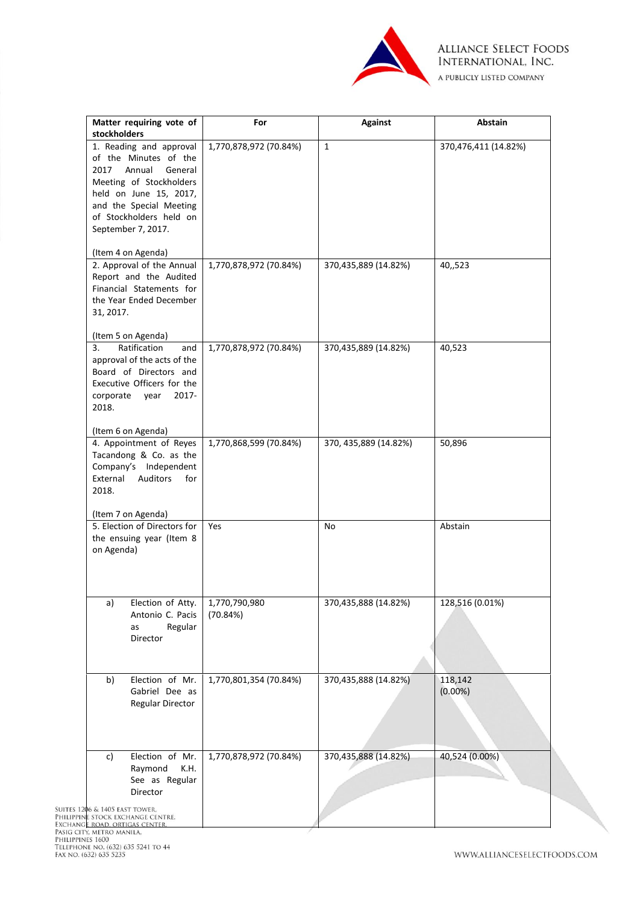

| Matter requiring vote of                           | For                    | <b>Against</b>         | Abstain              |
|----------------------------------------------------|------------------------|------------------------|----------------------|
| stockholders                                       |                        |                        |                      |
| 1. Reading and approval                            | 1,770,878,972 (70.84%) | $\mathbf{1}$           | 370,476,411 (14.82%) |
| of the Minutes of the                              |                        |                        |                      |
| 2017<br>Annual<br>General                          |                        |                        |                      |
| Meeting of Stockholders                            |                        |                        |                      |
| held on June 15, 2017,                             |                        |                        |                      |
| and the Special Meeting                            |                        |                        |                      |
| of Stockholders held on                            |                        |                        |                      |
| September 7, 2017.                                 |                        |                        |                      |
|                                                    |                        |                        |                      |
| (Item 4 on Agenda)<br>2. Approval of the Annual    |                        |                        |                      |
|                                                    | 1,770,878,972 (70.84%) | 370,435,889 (14.82%)   | 40,,523              |
| Report and the Audited<br>Financial Statements for |                        |                        |                      |
| the Year Ended December                            |                        |                        |                      |
| 31, 2017.                                          |                        |                        |                      |
|                                                    |                        |                        |                      |
| (Item 5 on Agenda)                                 |                        |                        |                      |
| 3.<br>Ratification<br>and                          | 1,770,878,972 (70.84%) | 370,435,889 (14.82%)   | 40,523               |
| approval of the acts of the                        |                        |                        |                      |
| Board of Directors and                             |                        |                        |                      |
| Executive Officers for the                         |                        |                        |                      |
| corporate<br>$2017 -$<br>year                      |                        |                        |                      |
| 2018.                                              |                        |                        |                      |
|                                                    |                        |                        |                      |
| (Item 6 on Agenda)                                 |                        |                        |                      |
| 4. Appointment of Reyes                            | 1,770,868,599 (70.84%) | 370, 435, 889 (14.82%) | 50,896               |
| Tacandong & Co. as the                             |                        |                        |                      |
| Company's Independent                              |                        |                        |                      |
| Auditors<br>External<br>for                        |                        |                        |                      |
| 2018.                                              |                        |                        |                      |
|                                                    |                        |                        |                      |
| (Item 7 on Agenda)<br>5. Election of Directors for | Yes                    | No                     | Abstain              |
| the ensuing year (Item 8                           |                        |                        |                      |
| on Agenda)                                         |                        |                        |                      |
|                                                    |                        |                        |                      |
|                                                    |                        |                        |                      |
|                                                    |                        |                        |                      |
| Election of Atty.<br>a)                            | 1,770,790,980          | 370,435,888 (14.82%)   | 128,516 (0.01%)      |
| Antonio C. Pacis                                   | (70.84%)               |                        |                      |
| Regular<br>as                                      |                        |                        |                      |
| Director                                           |                        |                        |                      |
|                                                    |                        |                        |                      |
|                                                    |                        |                        |                      |
|                                                    |                        |                        |                      |
| Election of Mr.<br>b)                              | 1,770,801,354 (70.84%) | 370,435,888 (14.82%)   | 118,142              |
| Gabriel Dee as                                     |                        |                        | $(0.00\%)$           |
| <b>Regular Director</b>                            |                        |                        |                      |
|                                                    |                        |                        |                      |
|                                                    |                        |                        |                      |
|                                                    |                        |                        |                      |
| Election of Mr.<br>c)                              | 1,770,878,972 (70.84%) | 370,435,888 (14.82%)   | 40,524 (0.00%)       |
| Raymond<br>K.H.                                    |                        |                        |                      |
| See as Regular                                     |                        |                        |                      |
| Director                                           |                        |                        |                      |
| 6 & 1405 EAST TOWER.                               |                        |                        |                      |
| STOCK EXCHANGE CENTRE,<br>ROAD. ORTIGAS CENTER     |                        |                        |                      |
| TY, METRO MANILA,<br><b>NES 1600</b>               |                        |                        |                      |

5 5241 TO 44